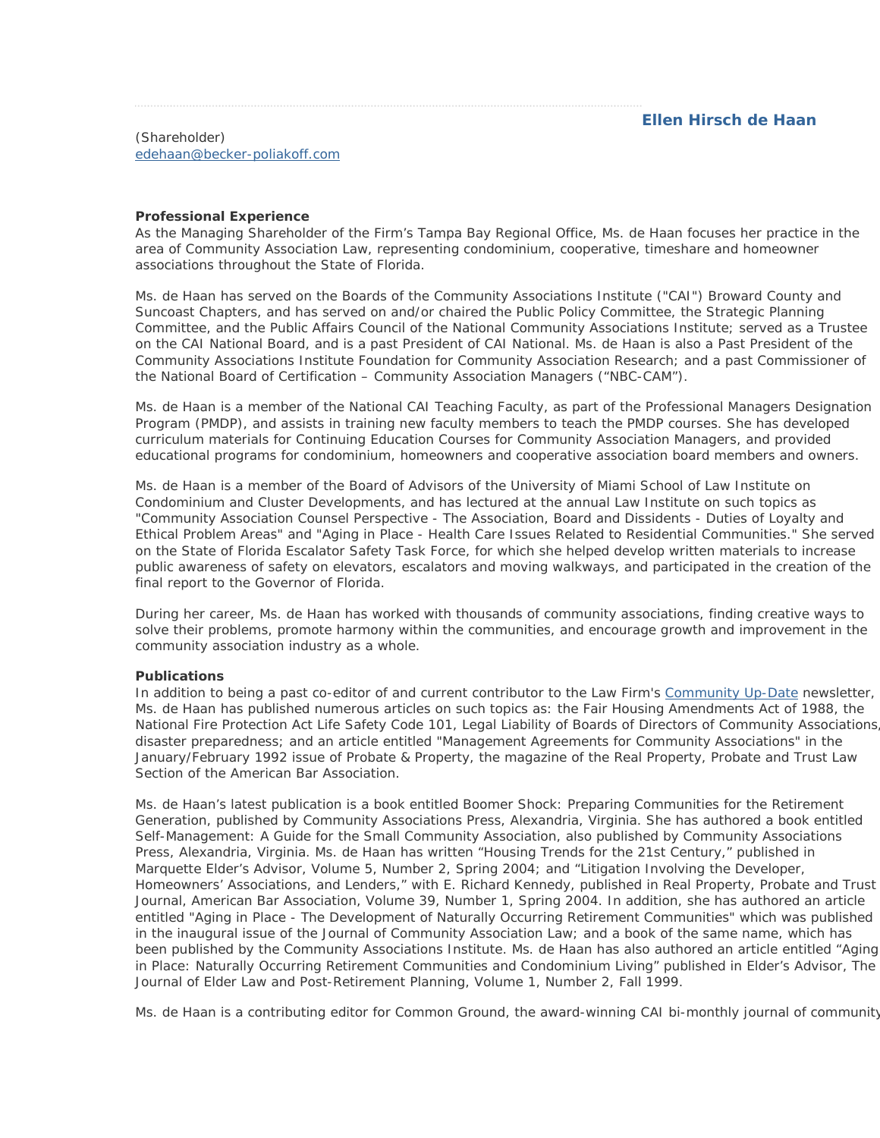### (Shareholder) edehaan@becker-poliakoff.com

# **Professional Experience**

As the Managing Shareholder of the Firm's Tampa Bay Regional Office, Ms. de Haan focuses her practice in the area of Community Association Law, representing condominium, cooperative, timeshare and homeowner associations throughout the State of Florida.

Ms. de Haan has served on the Boards of the Community Associations Institute ("CAI") Broward County and Suncoast Chapters, and has served on and/or chaired the Public Policy Committee, the Strategic Planning Committee, and the Public Affairs Council of the National Community Associations Institute; served as a Trustee on the CAI National Board, and is a past President of CAI National. Ms. de Haan is also a Past President of the Community Associations Institute Foundation for Community Association Research; and a past Commissioner of the National Board of Certification – Community Association Managers ("NBC-CAM").

Ms. de Haan is a member of the National CAI Teaching Faculty, as part of the Professional Managers Designation Program (PMDP), and assists in training new faculty members to teach the PMDP courses. She has developed curriculum materials for Continuing Education Courses for Community Association Managers, and provided educational programs for condominium, homeowners and cooperative association board members and owners.

Ms. de Haan is a member of the Board of Advisors of the University of Miami School of Law Institute on Condominium and Cluster Developments, and has lectured at the annual Law Institute on such topics as "Community Association Counsel Perspective - The Association, Board and Dissidents - Duties of Loyalty and Ethical Problem Areas" and "Aging in Place - Health Care Issues Related to Residential Communities." She served on the State of Florida Escalator Safety Task Force, for which she helped develop written materials to increase public awareness of safety on elevators, escalators and moving walkways, and participated in the creation of the final report to the Governor of Florida.

During her career, Ms. de Haan has worked with thousands of community associations, finding creative ways to solve their problems, promote harmony within the communities, and encourage growth and improvement in the community association industry as a whole.

# **Publications**

In addition to being a past co-editor of and current contributor to the Law Firm's Community Up-Date newsletter, Ms. de Haan has published numerous articles on such topics as: the Fair Housing Amendments Act of 1988, the National Fire Protection Act Life Safety Code 101, Legal Liability of Boards of Directors of Community Associations, disaster preparedness; and an article entitled "Management Agreements for Community Associations" in the January/February 1992 issue of *Probate & Property*, the magazine of the Real Property, Probate and Trust Law Section of the American Bar Association.

Ms. de Haan's latest publication is a book entitled *Boomer Shock: Preparing Communities for the Retirement Generation*, published by Community Associations Press, Alexandria, Virginia. She has authored a book entitled *Self-Management: A Guide for the Small Community Association*, also published by Community Associations Press, Alexandria, Virginia. Ms. de Haan has written "Housing Trends for the 21st Century," published in Marquette Elder's Advisor, Volume 5, Number 2, Spring 2004; and "Litigation Involving the Developer, Homeowners' Associations, and Lenders," with E. Richard Kennedy, published in Real Property, Probate and Trust Journal, American Bar Association, Volume 39, Number 1, Spring 2004. In addition, she has authored an article entitled "Aging in Place - The Development of Naturally Occurring Retirement Communities" which was published in the inaugural issue of the Journal of Community Association Law; and a book of the same name, which has been published by the Community Associations Institute. Ms. de Haan has also authored an article entitled "Aging in Place: Naturally Occurring Retirement Communities and Condominium Living" published in Elder's Advisor, The Journal of Elder Law and Post-Retirement Planning, Volume 1, Number 2, Fall 1999.

Ms. de Haan is a contributing editor for *Common Ground*, the award-winning CAI bi-monthly journal of community